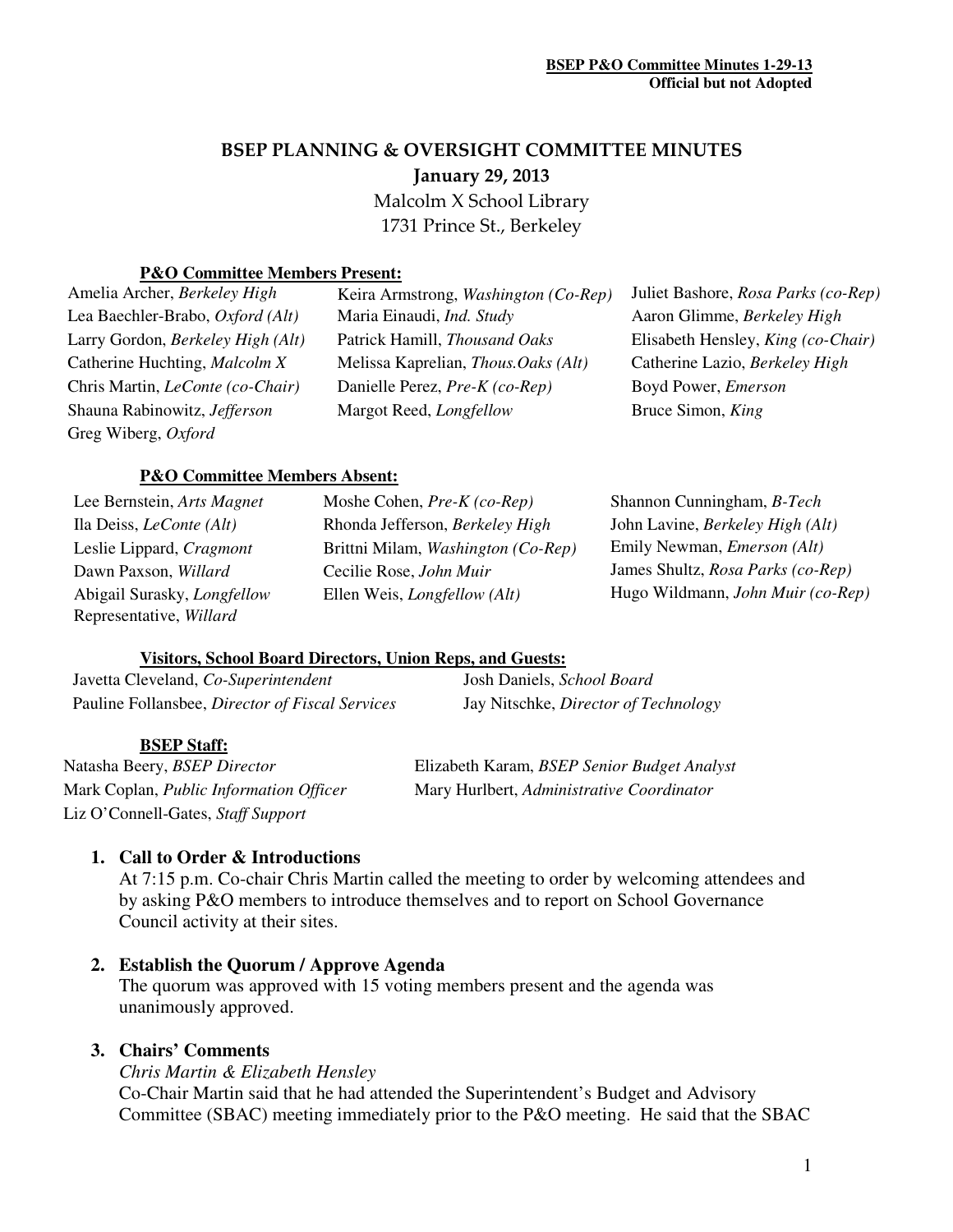# BSEP PLANNING & OVERSIGHT COMMITTEE MINUTES January 29, 2013

 Malcolm X School Library 1731 Prince St., Berkeley

## **P&O Committee Members Present:**

Greg Wiberg, *Oxford*

Lea Baechler-Brabo, *Oxford (Alt)* Maria Einaudi, *Ind. Study* Aaron Glimme, *Berkeley High* Larry Gordon, *Berkeley High (Alt)* Patrick Hamill, *Thousand Oaks* Elisabeth Hensley, *King (co-Chair)* Catherine Huchting, *Malcolm X* Melissa Kaprelian, *Thous.Oaks (Alt)* Catherine Lazio, *Berkeley High* Chris Martin, *LeConte (co-Chair)* Danielle Perez, *Pre-K (co-Rep)* Boyd Power, *Emerson* Shauna Rabinowitz, *Jefferson* Margot Reed, *Longfellow* Bruce Simon, *King*

Amelia Archer, *Berkeley High* Keira Armstrong, *Washington (Co-Rep)* Juliet Bashore, *Rosa Parks (co-Rep)*

#### **P&O Committee Members Absent:**

Representative, *Willard*

Ila Deiss, *LeConte (Alt)* Rhonda Jefferson, *Berkeley High* John Lavine, *Berkeley High (Alt)* Leslie Lippard, *Cragmont* Brittni Milam, *Washington (Co-Rep)* Emily Newman, *Emerson (Alt)* Dawn Paxson, *Willard* Cecilie Rose, *John Muir* James Shultz, *Rosa Parks (co-Rep)*

Lee Bernstein, *Arts Magnet* Moshe Cohen, *Pre-K (co-Rep)* Shannon Cunningham, *B-Tech* Abigail Surasky, *Longfellow* Ellen Weis, *Longfellow (Alt)* Hugo Wildmann, *John Muir (co-Rep)*

## **Visitors, School Board Directors, Union Reps, and Guests:**

| Javetta Cleveland, Co-Superintendent            | Josh Daniels, School Board           |
|-------------------------------------------------|--------------------------------------|
| Pauline Follansbee, Director of Fiscal Services | Jay Nitschke, Director of Technology |

#### **BSEP Staff:**

Liz O'Connell-Gates, *Staff Support* 

Natasha Beery, *BSEP Director* Elizabeth Karam, *BSEP Senior Budget Analyst* Mark Coplan, *Public Information Officer* Mary Hurlbert, *Administrative Coordinator*

## **1. Call to Order & Introductions**

At 7:15 p.m. Co-chair Chris Martin called the meeting to order by welcoming attendees and by asking P&O members to introduce themselves and to report on School Governance Council activity at their sites.

## **2. Establish the Quorum / Approve Agenda**

The quorum was approved with 15 voting members present and the agenda was unanimously approved.

## **3. Chairs' Comments**

*Chris Martin & Elizabeth Hensley* 

Co-Chair Martin said that he had attended the Superintendent's Budget and Advisory Committee (SBAC) meeting immediately prior to the P&O meeting. He said that the SBAC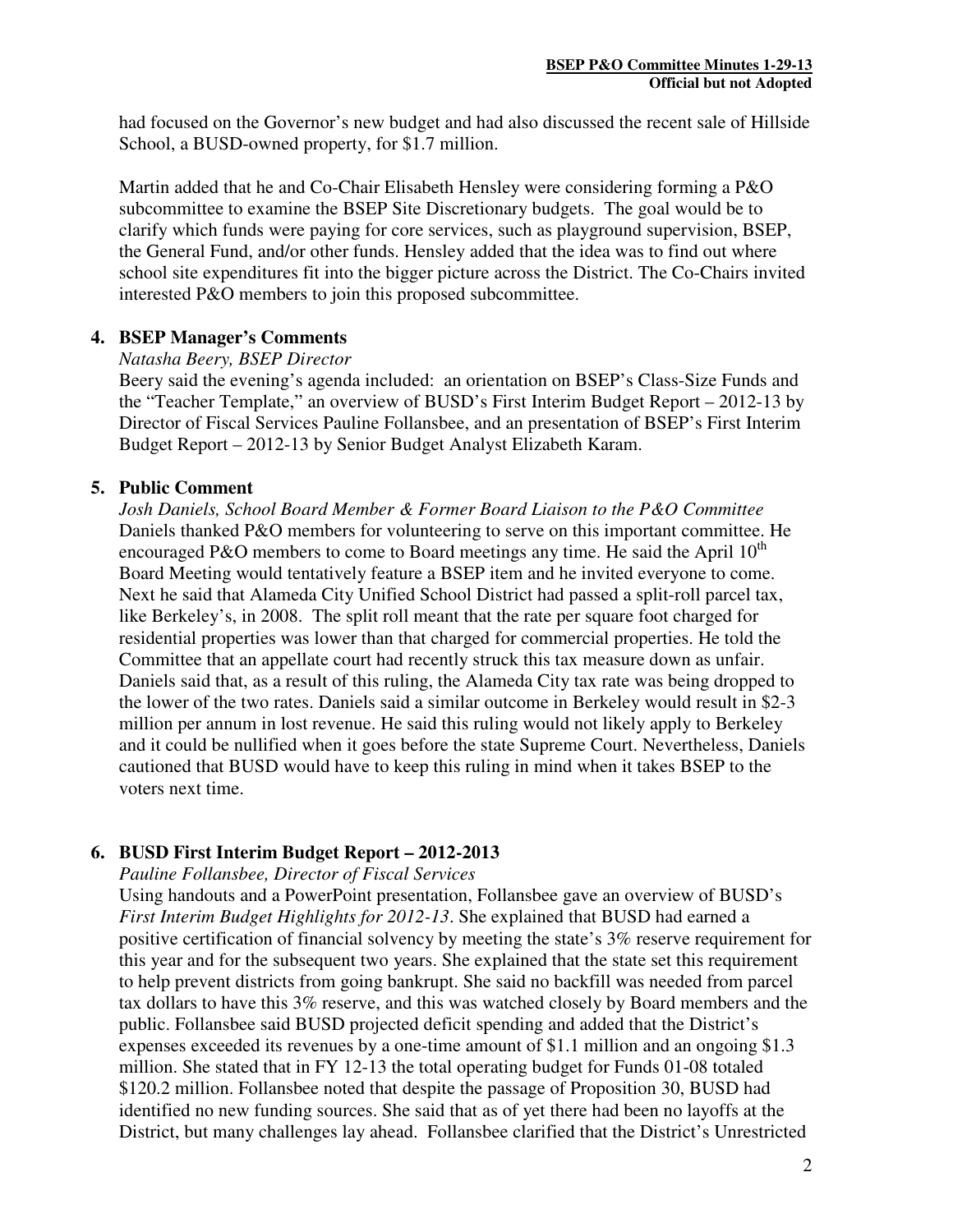had focused on the Governor's new budget and had also discussed the recent sale of Hillside School, a BUSD-owned property, for \$1.7 million.

Martin added that he and Co-Chair Elisabeth Hensley were considering forming a P&O subcommittee to examine the BSEP Site Discretionary budgets. The goal would be to clarify which funds were paying for core services, such as playground supervision, BSEP, the General Fund, and/or other funds. Hensley added that the idea was to find out where school site expenditures fit into the bigger picture across the District. The Co-Chairs invited interested P&O members to join this proposed subcommittee.

#### **4. BSEP Manager's Comments**

#### *Natasha Beery, BSEP Director*

Beery said the evening's agenda included: an orientation on BSEP's Class-Size Funds and the "Teacher Template," an overview of BUSD's First Interim Budget Report – 2012-13 by Director of Fiscal Services Pauline Follansbee, and an presentation of BSEP's First Interim Budget Report – 2012-13 by Senior Budget Analyst Elizabeth Karam.

#### **5. Public Comment**

*Josh Daniels, School Board Member & Former Board Liaison to the P&O Committee*  Daniels thanked P&O members for volunteering to serve on this important committee. He encouraged P&O members to come to Board meetings any time. He said the April  $10<sup>th</sup>$ Board Meeting would tentatively feature a BSEP item and he invited everyone to come. Next he said that Alameda City Unified School District had passed a split-roll parcel tax, like Berkeley's, in 2008. The split roll meant that the rate per square foot charged for residential properties was lower than that charged for commercial properties. He told the Committee that an appellate court had recently struck this tax measure down as unfair. Daniels said that, as a result of this ruling, the Alameda City tax rate was being dropped to the lower of the two rates. Daniels said a similar outcome in Berkeley would result in \$2-3 million per annum in lost revenue. He said this ruling would not likely apply to Berkeley and it could be nullified when it goes before the state Supreme Court. Nevertheless, Daniels cautioned that BUSD would have to keep this ruling in mind when it takes BSEP to the voters next time.

## **6. BUSD First Interim Budget Report – 2012-2013**

*Pauline Follansbee, Director of Fiscal Services* 

Using handouts and a PowerPoint presentation, Follansbee gave an overview of BUSD's *First Interim Budget Highlights for 2012-13*. She explained that BUSD had earned a positive certification of financial solvency by meeting the state's 3% reserve requirement for this year and for the subsequent two years. She explained that the state set this requirement to help prevent districts from going bankrupt. She said no backfill was needed from parcel tax dollars to have this 3% reserve, and this was watched closely by Board members and the public. Follansbee said BUSD projected deficit spending and added that the District's expenses exceeded its revenues by a one-time amount of \$1.1 million and an ongoing \$1.3 million. She stated that in FY 12-13 the total operating budget for Funds 01-08 totaled \$120.2 million. Follansbee noted that despite the passage of Proposition 30, BUSD had identified no new funding sources. She said that as of yet there had been no layoffs at the District, but many challenges lay ahead. Follansbee clarified that the District's Unrestricted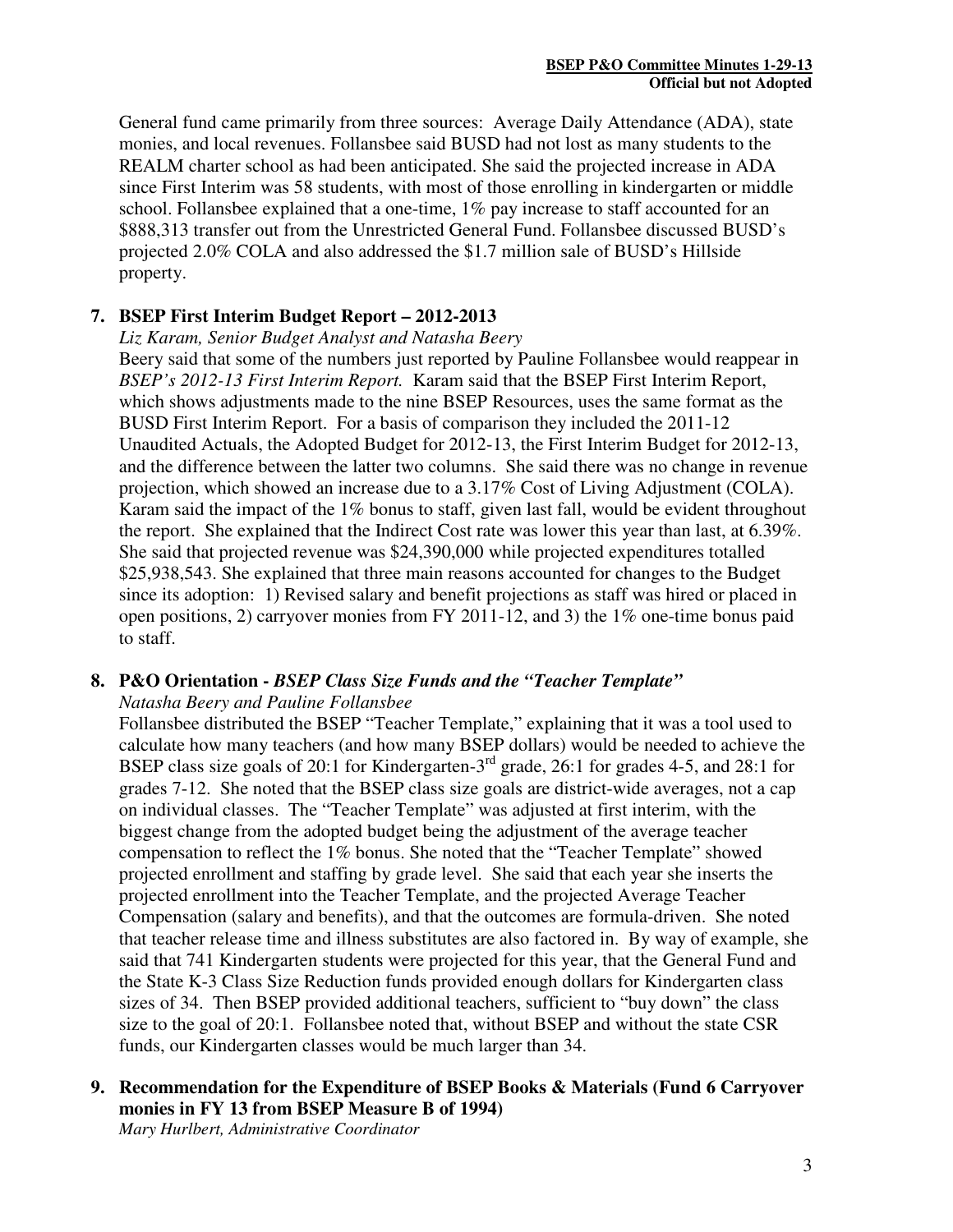General fund came primarily from three sources: Average Daily Attendance (ADA), state monies, and local revenues. Follansbee said BUSD had not lost as many students to the REALM charter school as had been anticipated. She said the projected increase in ADA since First Interim was 58 students, with most of those enrolling in kindergarten or middle school. Follansbee explained that a one-time, 1% pay increase to staff accounted for an \$888,313 transfer out from the Unrestricted General Fund. Follansbee discussed BUSD's projected 2.0% COLA and also addressed the \$1.7 million sale of BUSD's Hillside property.

## **7. BSEP First Interim Budget Report – 2012-2013**

*Liz Karam, Senior Budget Analyst and Natasha Beery* 

Beery said that some of the numbers just reported by Pauline Follansbee would reappear in *BSEP's 2012-13 First Interim Report.* Karam said that the BSEP First Interim Report, which shows adjustments made to the nine BSEP Resources, uses the same format as the BUSD First Interim Report. For a basis of comparison they included the 2011-12 Unaudited Actuals, the Adopted Budget for 2012-13, the First Interim Budget for 2012-13, and the difference between the latter two columns. She said there was no change in revenue projection, which showed an increase due to a 3.17% Cost of Living Adjustment (COLA). Karam said the impact of the 1% bonus to staff, given last fall, would be evident throughout the report. She explained that the Indirect Cost rate was lower this year than last, at 6.39%. She said that projected revenue was \$24,390,000 while projected expenditures totalled \$25,938,543. She explained that three main reasons accounted for changes to the Budget since its adoption: 1) Revised salary and benefit projections as staff was hired or placed in open positions, 2) carryover monies from FY 2011-12, and 3) the 1% one-time bonus paid to staff.

## **8. P&O Orientation -** *BSEP Class Size Funds and the "Teacher Template"*

#### *Natasha Beery and Pauline Follansbee*

Follansbee distributed the BSEP "Teacher Template," explaining that it was a tool used to calculate how many teachers (and how many BSEP dollars) would be needed to achieve the BSEP class size goals of 20:1 for Kindergarten-3rd grade, 26:1 for grades 4-5, and 28:1 for grades 7-12. She noted that the BSEP class size goals are district-wide averages, not a cap on individual classes. The "Teacher Template" was adjusted at first interim, with the biggest change from the adopted budget being the adjustment of the average teacher compensation to reflect the 1% bonus. She noted that the "Teacher Template" showed projected enrollment and staffing by grade level. She said that each year she inserts the projected enrollment into the Teacher Template, and the projected Average Teacher Compensation (salary and benefits), and that the outcomes are formula-driven. She noted that teacher release time and illness substitutes are also factored in. By way of example, she said that 741 Kindergarten students were projected for this year, that the General Fund and the State K-3 Class Size Reduction funds provided enough dollars for Kindergarten class sizes of 34. Then BSEP provided additional teachers, sufficient to "buy down" the class size to the goal of 20:1. Follansbee noted that, without BSEP and without the state CSR funds, our Kindergarten classes would be much larger than 34.

**9. Recommendation for the Expenditure of BSEP Books & Materials (Fund 6 Carryover monies in FY 13 from BSEP Measure B of 1994)** 

*Mary Hurlbert, Administrative Coordinator*